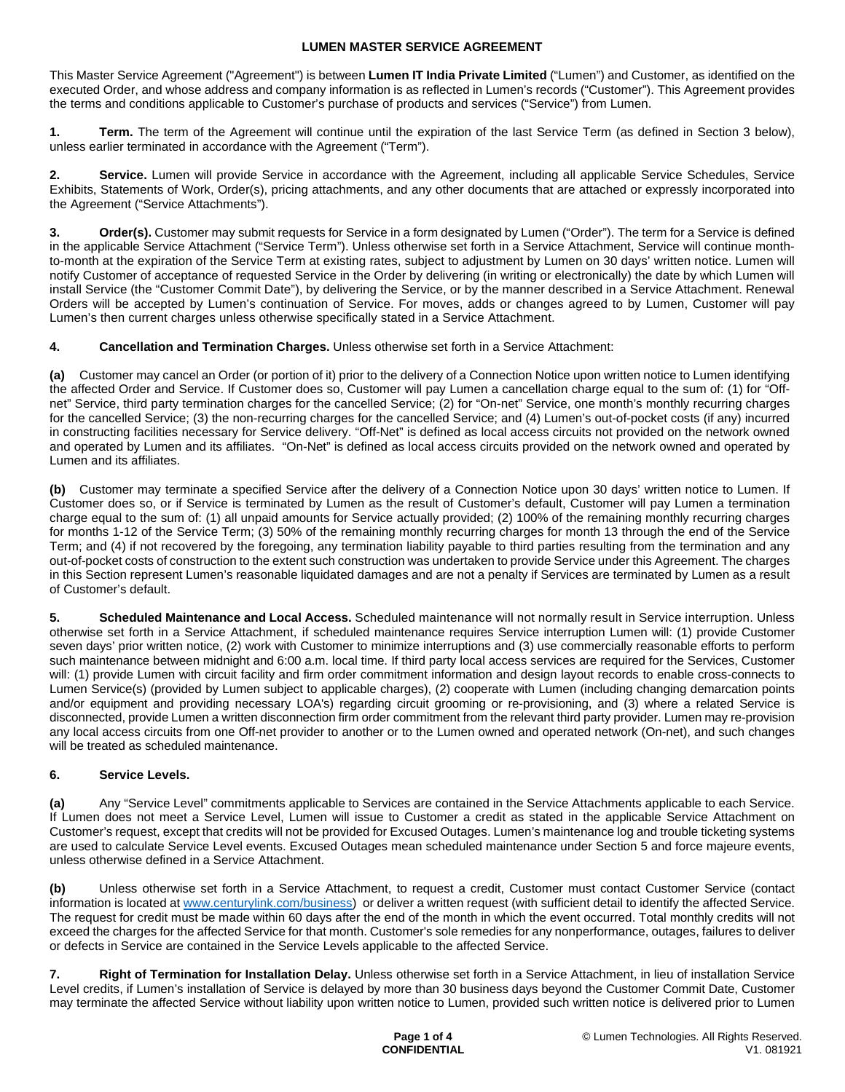This Master Service Agreement ("Agreement") is between **Lumen IT India Private Limited** ("Lumen") and Customer, as identified on the executed Order, and whose address and company information is as reflected in Lumen's records ("Customer"). This Agreement provides the terms and conditions applicable to Customer's purchase of products and services ("Service") from Lumen.

**1. Term.** The term of the Agreement will continue until the expiration of the last Service Term (as defined in Section 3 below), unless earlier terminated in accordance with the Agreement ("Term").

**2. Service.** Lumen will provide Service in accordance with the Agreement, including all applicable Service Schedules, Service Exhibits, Statements of Work, Order(s), pricing attachments, and any other documents that are attached or expressly incorporated into the Agreement ("Service Attachments").

**Order(s).** Customer may submit requests for Service in a form designated by Lumen ("Order"). The term for a Service is defined in the applicable Service Attachment ("Service Term"). Unless otherwise set forth in a Service Attachment, Service will continue monthto-month at the expiration of the Service Term at existing rates, subject to adjustment by Lumen on 30 days' written notice. Lumen will notify Customer of acceptance of requested Service in the Order by delivering (in writing or electronically) the date by which Lumen will install Service (the "Customer Commit Date"), by delivering the Service, or by the manner described in a Service Attachment. Renewal Orders will be accepted by Lumen's continuation of Service. For moves, adds or changes agreed to by Lumen, Customer will pay Lumen's then current charges unless otherwise specifically stated in a Service Attachment.

**4. Cancellation and Termination Charges.** Unless otherwise set forth in a Service Attachment:

**(a)** Customer may cancel an Order (or portion of it) prior to the delivery of a Connection Notice upon written notice to Lumen identifying the affected Order and Service. If Customer does so, Customer will pay Lumen a cancellation charge equal to the sum of: (1) for "Offnet" Service, third party termination charges for the cancelled Service; (2) for "On-net" Service, one month's monthly recurring charges for the cancelled Service; (3) the non-recurring charges for the cancelled Service; and (4) Lumen's out-of-pocket costs (if any) incurred in constructing facilities necessary for Service delivery. "Off-Net" is defined as local access circuits not provided on the network owned and operated by Lumen and its affiliates. "On-Net" is defined as local access circuits provided on the network owned and operated by Lumen and its affiliates.

**(b)** Customer may terminate a specified Service after the delivery of a Connection Notice upon 30 days' written notice to Lumen. If Customer does so, or if Service is terminated by Lumen as the result of Customer's default, Customer will pay Lumen a termination charge equal to the sum of: (1) all unpaid amounts for Service actually provided; (2) 100% of the remaining monthly recurring charges for months 1-12 of the Service Term; (3) 50% of the remaining monthly recurring charges for month 13 through the end of the Service Term; and (4) if not recovered by the foregoing, any termination liability payable to third parties resulting from the termination and any out-of-pocket costs of construction to the extent such construction was undertaken to provide Service under this Agreement. The charges in this Section represent Lumen's reasonable liquidated damages and are not a penalty if Services are terminated by Lumen as a result of Customer's default.

**5. Scheduled Maintenance and Local Access.** Scheduled maintenance will not normally result in Service interruption. Unless otherwise set forth in a Service Attachment, if scheduled maintenance requires Service interruption Lumen will: (1) provide Customer seven days' prior written notice, (2) work with Customer to minimize interruptions and (3) use commercially reasonable efforts to perform such maintenance between midnight and 6:00 a.m. local time. If third party local access services are required for the Services, Customer will: (1) provide Lumen with circuit facility and firm order commitment information and design layout records to enable cross-connects to Lumen Service(s) (provided by Lumen subject to applicable charges), (2) cooperate with Lumen (including changing demarcation points and/or equipment and providing necessary LOA's) regarding circuit grooming or re-provisioning, and (3) where a related Service is disconnected, provide Lumen a written disconnection firm order commitment from the relevant third party provider. Lumen may re-provision any local access circuits from one Off-net provider to another or to the Lumen owned and operated network (On-net), and such changes will be treated as scheduled maintenance.

## **6. Service Levels.**

**(a)** Any "Service Level" commitments applicable to Services are contained in the Service Attachments applicable to each Service. If Lumen does not meet a Service Level, Lumen will issue to Customer a credit as stated in the applicable Service Attachment on Customer's request, except that credits will not be provided for Excused Outages. Lumen's maintenance log and trouble ticketing systems are used to calculate Service Level events. Excused Outages mean scheduled maintenance under Section 5 and force majeure events, unless otherwise defined in a Service Attachment.

**(b)** Unless otherwise set forth in a Service Attachment, to request a credit, Customer must contact Customer Service (contact information is located at [www.centurylink.com/business](http://www.centurylink.com/business)) or deliver a written request (with sufficient detail to identify the affected Service. The request for credit must be made within 60 days after the end of the month in which the event occurred. Total monthly credits will not exceed the charges for the affected Service for that month. Customer's sole remedies for any nonperformance, outages, failures to deliver or defects in Service are contained in the Service Levels applicable to the affected Service.

**7. Right of Termination for Installation Delay.** Unless otherwise set forth in a Service Attachment, in lieu of installation Service Level credits, if Lumen's installation of Service is delayed by more than 30 business days beyond the Customer Commit Date, Customer may terminate the affected Service without liability upon written notice to Lumen, provided such written notice is delivered prior to Lumen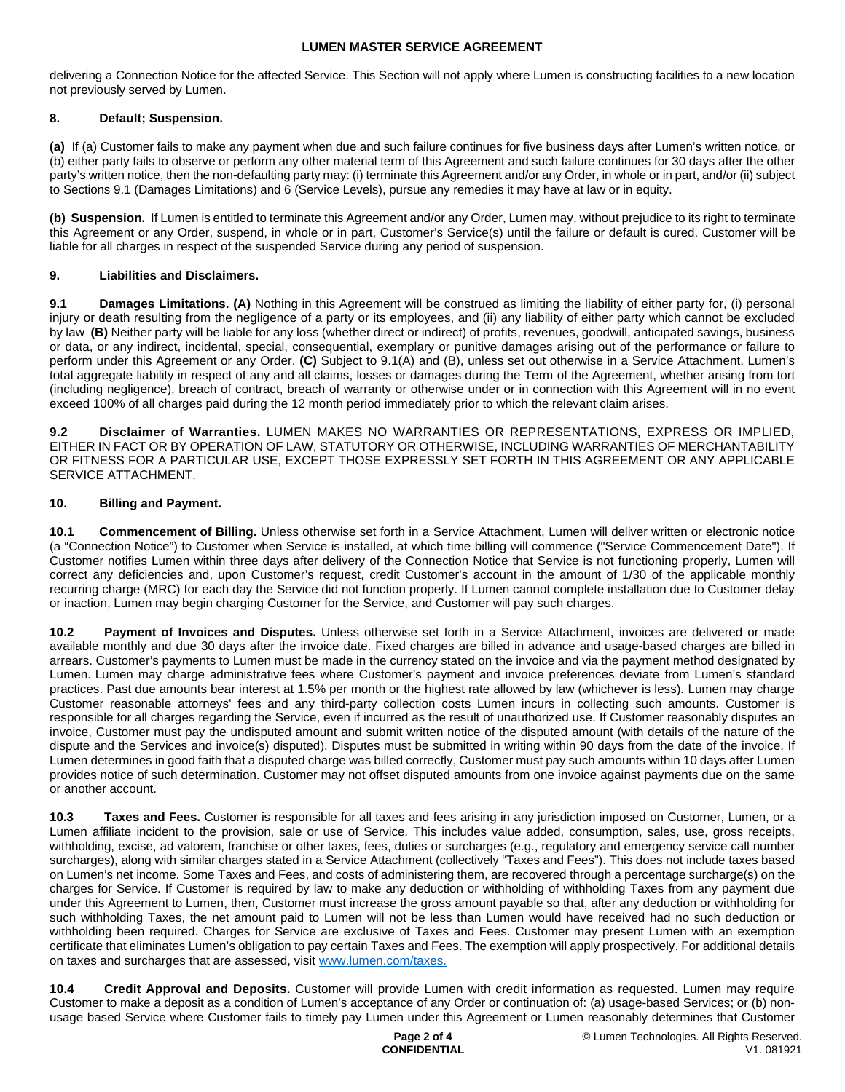delivering a Connection Notice for the affected Service. This Section will not apply where Lumen is constructing facilities to a new location not previously served by Lumen.

## **8. Default; Suspension.**

**(a)** If (a) Customer fails to make any payment when due and such failure continues for five business days after Lumen's written notice, or (b) either party fails to observe or perform any other material term of this Agreement and such failure continues for 30 days after the other party's written notice, then the non-defaulting party may: (i) terminate this Agreement and/or any Order, in whole or in part, and/or (ii) subject to Sections 9.1 (Damages Limitations) and 6 (Service Levels), pursue any remedies it may have at law or in equity.

**(b) Suspension.** If Lumen is entitled to terminate this Agreement and/or any Order, Lumen may, without prejudice to its right to terminate this Agreement or any Order, suspend, in whole or in part, Customer's Service(s) until the failure or default is cured. Customer will be liable for all charges in respect of the suspended Service during any period of suspension.

## **9. Liabilities and Disclaimers.**

**9.1 Damages Limitations. (A)** Nothing in this Agreement will be construed as limiting the liability of either party for, (i) personal injury or death resulting from the negligence of a party or its employees, and (ii) any liability of either party which cannot be excluded by law **(B)** Neither party will be liable for any loss (whether direct or indirect) of profits, revenues, goodwill, anticipated savings, business or data, or any indirect, incidental, special, consequential, exemplary or punitive damages arising out of the performance or failure to perform under this Agreement or any Order. **(C)** Subject to 9.1(A) and (B), unless set out otherwise in a Service Attachment, Lumen's total aggregate liability in respect of any and all claims, losses or damages during the Term of the Agreement, whether arising from tort (including negligence), breach of contract, breach of warranty or otherwise under or in connection with this Agreement will in no event exceed 100% of all charges paid during the 12 month period immediately prior to which the relevant claim arises.

**9.2 Disclaimer of Warranties.** LUMEN MAKES NO WARRANTIES OR REPRESENTATIONS, EXPRESS OR IMPLIED, EITHER IN FACT OR BY OPERATION OF LAW, STATUTORY OR OTHERWISE, INCLUDING WARRANTIES OF MERCHANTABILITY OR FITNESS FOR A PARTICULAR USE, EXCEPT THOSE EXPRESSLY SET FORTH IN THIS AGREEMENT OR ANY APPLICABLE SERVICE ATTACHMENT.

# **10. Billing and Payment.**

**10.1 Commencement of Billing.** Unless otherwise set forth in a Service Attachment, Lumen will deliver written or electronic notice (a "Connection Notice") to Customer when Service is installed, at which time billing will commence ("Service Commencement Date"). If Customer notifies Lumen within three days after delivery of the Connection Notice that Service is not functioning properly, Lumen will correct any deficiencies and, upon Customer's request, credit Customer's account in the amount of 1/30 of the applicable monthly recurring charge (MRC) for each day the Service did not function properly. If Lumen cannot complete installation due to Customer delay or inaction, Lumen may begin charging Customer for the Service, and Customer will pay such charges.

**10.2 Payment of Invoices and Disputes.** Unless otherwise set forth in a Service Attachment, invoices are delivered or made available monthly and due 30 days after the invoice date. Fixed charges are billed in advance and usage-based charges are billed in arrears. Customer's payments to Lumen must be made in the currency stated on the invoice and via the payment method designated by Lumen. Lumen may charge administrative fees where Customer's payment and invoice preferences deviate from Lumen's standard practices. Past due amounts bear interest at 1.5% per month or the highest rate allowed by law (whichever is less). Lumen may charge Customer reasonable attorneys' fees and any third-party collection costs Lumen incurs in collecting such amounts. Customer is responsible for all charges regarding the Service, even if incurred as the result of unauthorized use. If Customer reasonably disputes an invoice, Customer must pay the undisputed amount and submit written notice of the disputed amount (with details of the nature of the dispute and the Services and invoice(s) disputed). Disputes must be submitted in writing within 90 days from the date of the invoice. If Lumen determines in good faith that a disputed charge was billed correctly, Customer must pay such amounts within 10 days after Lumen provides notice of such determination. Customer may not offset disputed amounts from one invoice against payments due on the same or another account.

**10.3 Taxes and Fees.** Customer is responsible for all taxes and fees arising in any jurisdiction imposed on Customer, Lumen, or a Lumen affiliate incident to the provision, sale or use of Service. This includes value added, consumption, sales, use, gross receipts, withholding, excise, ad valorem, franchise or other taxes, fees, duties or surcharges (e.g., regulatory and emergency service call number surcharges), along with similar charges stated in a Service Attachment (collectively "Taxes and Fees"). This does not include taxes based on Lumen's net income. Some Taxes and Fees, and costs of administering them, are recovered through a percentage surcharge(s) on the charges for Service. If Customer is required by law to make any deduction or withholding of withholding Taxes from any payment due under this Agreement to Lumen, then, Customer must increase the gross amount payable so that, after any deduction or withholding for such withholding Taxes, the net amount paid to Lumen will not be less than Lumen would have received had no such deduction or withholding been required. Charges for Service are exclusive of Taxes and Fees. Customer may present Lumen with an exemption certificate that eliminates Lumen's obligation to pay certain Taxes and Fees. The exemption will apply prospectively. For additional details on taxes and surcharges that are assessed, visit [www.lumen.com/taxes](http://www.lumen.com/taxes).

**10.4 Credit Approval and Deposits.** Customer will provide Lumen with credit information as requested. Lumen may require Customer to make a deposit as a condition of Lumen's acceptance of any Order or continuation of: (a) usage-based Services; or (b) nonusage based Service where Customer fails to timely pay Lumen under this Agreement or Lumen reasonably determines that Customer

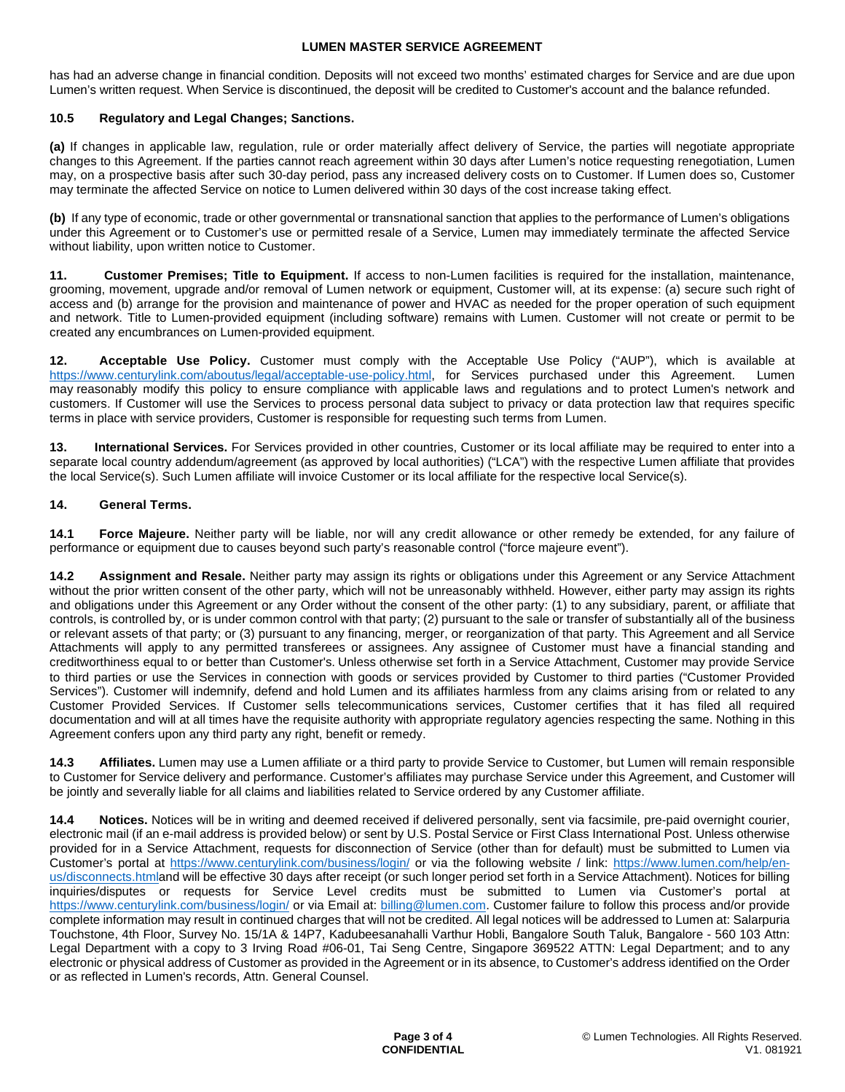has had an adverse change in financial condition. Deposits will not exceed two months' estimated charges for Service and are due upon Lumen's written request. When Service is discontinued, the deposit will be credited to Customer's account and the balance refunded.

## **10.5 Regulatory and Legal Changes; Sanctions.**

**(a)** If changes in applicable law, regulation, rule or order materially affect delivery of Service, the parties will negotiate appropriate changes to this Agreement. If the parties cannot reach agreement within 30 days after Lumen's notice requesting renegotiation, Lumen may, on a prospective basis after such 30-day period, pass any increased delivery costs on to Customer. If Lumen does so, Customer may terminate the affected Service on notice to Lumen delivered within 30 days of the cost increase taking effect.

**(b)** If any type of economic, trade or other governmental or transnational sanction that applies to the performance of Lumen's obligations under this Agreement or to Customer's use or permitted resale of a Service, Lumen may immediately terminate the affected Service without liability, upon written notice to Customer.

**11. Customer Premises; Title to Equipment.** If access to non-Lumen facilities is required for the installation, maintenance, grooming, movement, upgrade and/or removal of Lumen network or equipment, Customer will, at its expense: (a) secure such right of access and (b) arrange for the provision and maintenance of power and HVAC as needed for the proper operation of such equipment and network. Title to Lumen-provided equipment (including software) remains with Lumen. Customer will not create or permit to be created any encumbrances on Lumen-provided equipment.

**12. Acceptable Use Policy.** Customer must comply with the Acceptable Use Policy ("AUP"), which is available at https://www.centurylink.com/aboutus/legal/acceptable-use-policy.html, for Services purchased under this Agreement. Lumen may reasonably modify this policy to ensure compliance with applicable laws and regulations and to protect Lumen's network and customers. If Customer will use the Services to process personal data subject to privacy or data protection law that requires specific terms in place with service providers, Customer is responsible for requesting such terms from Lumen.

**13. International Services.** For Services provided in other countries, Customer or its local affiliate may be required to enter into a separate local country addendum/agreement (as approved by local authorities) ("LCA") with the respective Lumen affiliate that provides the local Service(s). Such Lumen affiliate will invoice Customer or its local affiliate for the respective local Service(s).

## **14. General Terms.**

**14.1 Force Majeure.** Neither party will be liable, nor will any credit allowance or other remedy be extended, for any failure of performance or equipment due to causes beyond such party's reasonable control ("force majeure event").

**14.2 Assignment and Resale.** Neither party may assign its rights or obligations under this Agreement or any Service Attachment without the prior written consent of the other party, which will not be unreasonably withheld. However, either party may assign its rights and obligations under this Agreement or any Order without the consent of the other party: (1) to any subsidiary, parent, or affiliate that controls, is controlled by, or is under common control with that party; (2) pursuant to the sale or transfer of substantially all of the business or relevant assets of that party; or (3) pursuant to any financing, merger, or reorganization of that party. This Agreement and all Service Attachments will apply to any permitted transferees or assignees. Any assignee of Customer must have a financial standing and creditworthiness equal to or better than Customer's. Unless otherwise set forth in a Service Attachment, Customer may provide Service to third parties or use the Services in connection with goods or services provided by Customer to third parties ("Customer Provided Services"). Customer will indemnify, defend and hold Lumen and its affiliates harmless from any claims arising from or related to any Customer Provided Services. If Customer sells telecommunications services, Customer certifies that it has filed all required documentation and will at all times have the requisite authority with appropriate regulatory agencies respecting the same. Nothing in this Agreement confers upon any third party any right, benefit or remedy.

**14.3 Affiliates.** Lumen may use a Lumen affiliate or a third party to provide Service to Customer, but Lumen will remain responsible to Customer for Service delivery and performance. Customer's affiliates may purchase Service under this Agreement, and Customer will be jointly and severally liable for all claims and liabilities related to Service ordered by any Customer affiliate.

**14.4 Notices.** Notices will be in writing and deemed received if delivered personally, sent via facsimile, pre-paid overnight courier, electronic mail (if an e-mail address is provided below) or sent by U.S. Postal Service or First Class International Post. Unless otherwise provided for in a Service Attachment, requests for disconnection of Service (other than for default) must be submitted to Lumen via Customer's portal at <https://www.centurylink.com/business/login/> or via the following website / link: [https://www.lumen.com/help/en](https://www.lumen.com/help/en-us/disconnects.html)[us/disconnects.htmland will be effective 30 days after receipt \(or such longer period set forth in a Service Attachment\). Notices for billing](https://www.lumen.com/help/en-us/disconnects.html)  inquiries/disputes or requests for Service Level credits must be submitted to Lumen via Customer's portal at <https://www.centurylink.com/business/login/>or via Email at: [billing@lumen.com](mailto:billing@lumen.com). Customer failure to follow this process and/or provide complete information may result in continued charges that will not be credited. All legal notices will be addressed to Lumen at: Salarpuria Touchstone, 4th Floor, Survey No. 15/1A & 14P7, Kadubeesanahalli Varthur Hobli, Bangalore South Taluk, Bangalore - 560 103 Attn: Legal Department with a copy to 3 Irving Road #06-01, Tai Seng Centre, Singapore 369522 ATTN: Legal Department; and to any electronic or physical address of Customer as provided in the Agreement or in its absence, to Customer's address identified on the Order or as reflected in Lumen's records, Attn. General Counsel.